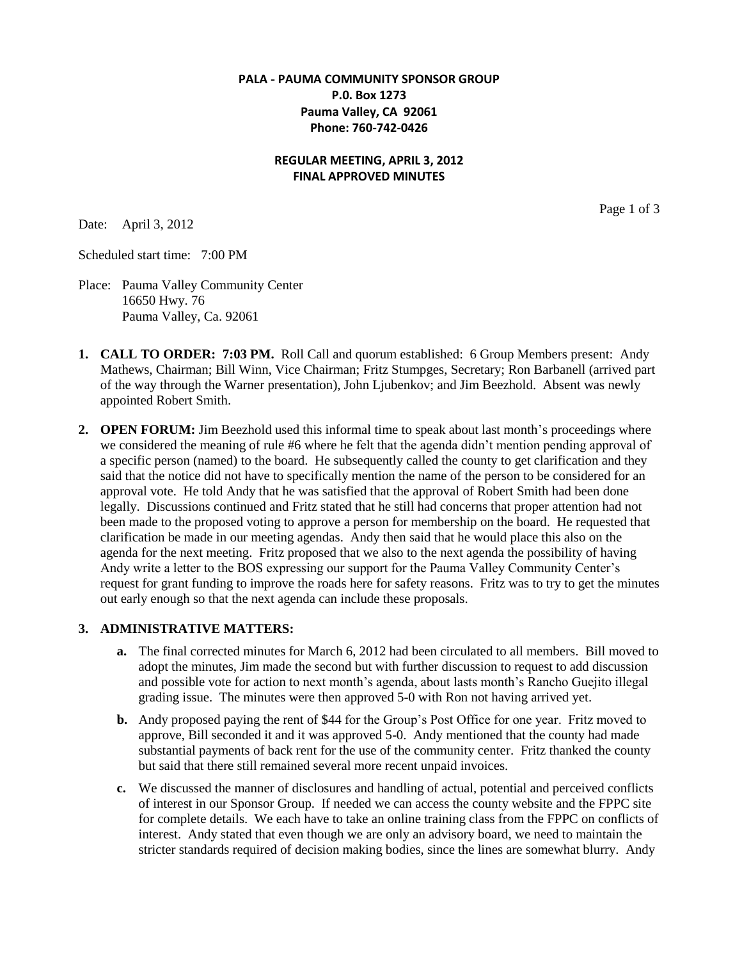# **PALA - PAUMA COMMUNITY SPONSOR GROUP P.0. Box 1273 Pauma Valley, CA 92061 Phone: 760-742-0426**

## **REGULAR MEETING, APRIL 3, 2012 FINAL APPROVED MINUTES**

Date: April 3, 2012

Scheduled start time: 7:00 PM

- Place: Pauma Valley Community Center 16650 Hwy. 76 Pauma Valley, Ca. 92061
- **1. CALL TO ORDER: 7:03 PM.** Roll Call and quorum established: 6 Group Members present: Andy Mathews, Chairman; Bill Winn, Vice Chairman; Fritz Stumpges, Secretary; Ron Barbanell (arrived part of the way through the Warner presentation), John Ljubenkov; and Jim Beezhold. Absent was newly appointed Robert Smith.
- **2. OPEN FORUM:** Jim Beezhold used this informal time to speak about last month's proceedings where we considered the meaning of rule #6 where he felt that the agenda didn't mention pending approval of a specific person (named) to the board. He subsequently called the county to get clarification and they said that the notice did not have to specifically mention the name of the person to be considered for an approval vote. He told Andy that he was satisfied that the approval of Robert Smith had been done legally. Discussions continued and Fritz stated that he still had concerns that proper attention had not been made to the proposed voting to approve a person for membership on the board. He requested that clarification be made in our meeting agendas. Andy then said that he would place this also on the agenda for the next meeting. Fritz proposed that we also to the next agenda the possibility of having Andy write a letter to the BOS expressing our support for the Pauma Valley Community Center's request for grant funding to improve the roads here for safety reasons. Fritz was to try to get the minutes out early enough so that the next agenda can include these proposals.

### **3. ADMINISTRATIVE MATTERS:**

- **a.** The final corrected minutes for March 6, 2012 had been circulated to all members. Bill moved to adopt the minutes, Jim made the second but with further discussion to request to add discussion and possible vote for action to next month's agenda, about lasts month's Rancho Guejito illegal grading issue. The minutes were then approved 5-0 with Ron not having arrived yet.
- **b.** Andy proposed paying the rent of \$44 for the Group's Post Office for one year. Fritz moved to approve, Bill seconded it and it was approved 5-0. Andy mentioned that the county had made substantial payments of back rent for the use of the community center. Fritz thanked the county but said that there still remained several more recent unpaid invoices.
- **c.** We discussed the manner of disclosures and handling of actual, potential and perceived conflicts of interest in our Sponsor Group. If needed we can access the county website and the FPPC site for complete details. We each have to take an online training class from the FPPC on conflicts of interest. Andy stated that even though we are only an advisory board, we need to maintain the stricter standards required of decision making bodies, since the lines are somewhat blurry. Andy

Page 1 of 3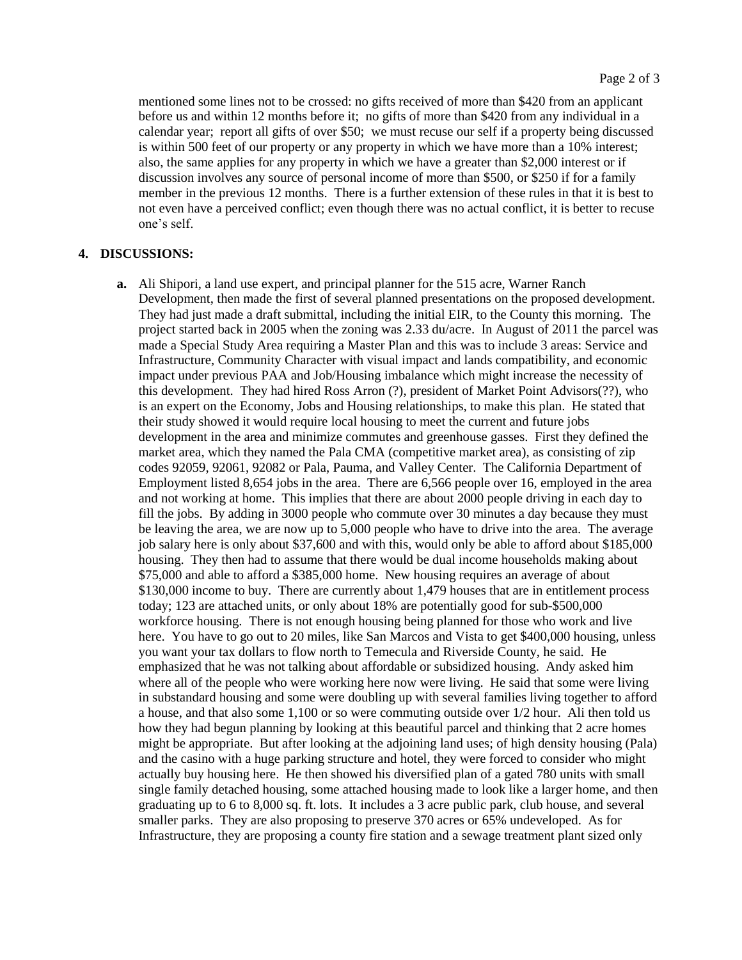mentioned some lines not to be crossed: no gifts received of more than \$420 from an applicant before us and within 12 months before it; no gifts of more than \$420 from any individual in a calendar year; report all gifts of over \$50; we must recuse our self if a property being discussed is within 500 feet of our property or any property in which we have more than a 10% interest; also, the same applies for any property in which we have a greater than \$2,000 interest or if discussion involves any source of personal income of more than \$500, or \$250 if for a family member in the previous 12 months. There is a further extension of these rules in that it is best to not even have a perceived conflict; even though there was no actual conflict, it is better to recuse one's self.

#### **4. DISCUSSIONS:**

**a.** Ali Shipori, a land use expert, and principal planner for the 515 acre, Warner Ranch Development, then made the first of several planned presentations on the proposed development. They had just made a draft submittal, including the initial EIR, to the County this morning. The project started back in 2005 when the zoning was 2.33 du/acre. In August of 2011 the parcel was made a Special Study Area requiring a Master Plan and this was to include 3 areas: Service and Infrastructure, Community Character with visual impact and lands compatibility, and economic impact under previous PAA and Job/Housing imbalance which might increase the necessity of this development. They had hired Ross Arron (?), president of Market Point Advisors(??), who is an expert on the Economy, Jobs and Housing relationships, to make this plan. He stated that their study showed it would require local housing to meet the current and future jobs development in the area and minimize commutes and greenhouse gasses. First they defined the market area, which they named the Pala CMA (competitive market area), as consisting of zip codes 92059, 92061, 92082 or Pala, Pauma, and Valley Center. The California Department of Employment listed 8,654 jobs in the area. There are 6,566 people over 16, employed in the area and not working at home. This implies that there are about 2000 people driving in each day to fill the jobs. By adding in 3000 people who commute over 30 minutes a day because they must be leaving the area, we are now up to 5,000 people who have to drive into the area. The average job salary here is only about \$37,600 and with this, would only be able to afford about \$185,000 housing. They then had to assume that there would be dual income households making about \$75,000 and able to afford a \$385,000 home. New housing requires an average of about \$130,000 income to buy. There are currently about 1,479 houses that are in entitlement process today; 123 are attached units, or only about 18% are potentially good for sub-\$500,000 workforce housing. There is not enough housing being planned for those who work and live here. You have to go out to 20 miles, like San Marcos and Vista to get \$400,000 housing, unless you want your tax dollars to flow north to Temecula and Riverside County, he said. He emphasized that he was not talking about affordable or subsidized housing. Andy asked him where all of the people who were working here now were living. He said that some were living in substandard housing and some were doubling up with several families living together to afford a house, and that also some 1,100 or so were commuting outside over 1/2 hour. Ali then told us how they had begun planning by looking at this beautiful parcel and thinking that 2 acre homes might be appropriate. But after looking at the adjoining land uses; of high density housing (Pala) and the casino with a huge parking structure and hotel, they were forced to consider who might actually buy housing here. He then showed his diversified plan of a gated 780 units with small single family detached housing, some attached housing made to look like a larger home, and then graduating up to 6 to 8,000 sq. ft. lots. It includes a 3 acre public park, club house, and several smaller parks. They are also proposing to preserve 370 acres or 65% undeveloped. As for Infrastructure, they are proposing a county fire station and a sewage treatment plant sized only